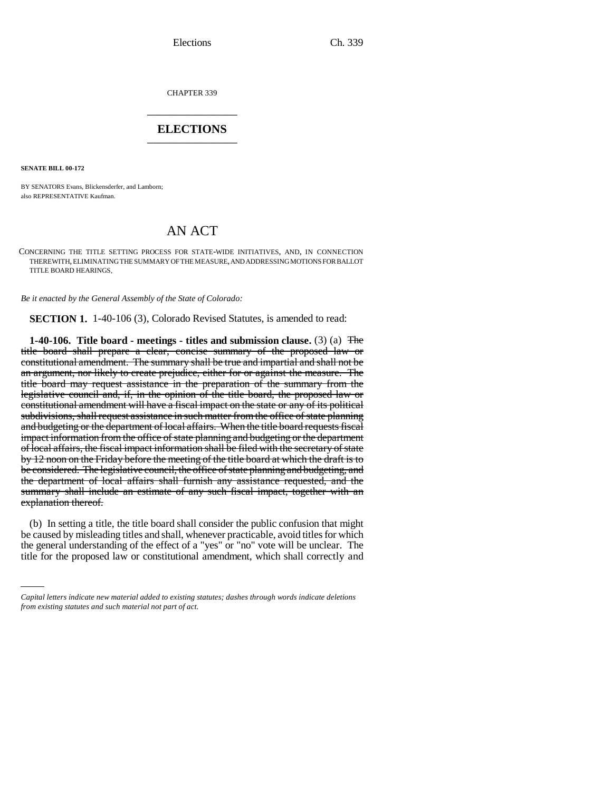CHAPTER 339 \_\_\_\_\_\_\_\_\_\_\_\_\_\_\_

### **ELECTIONS** \_\_\_\_\_\_\_\_\_\_\_\_\_\_\_

**SENATE BILL 00-172** 

BY SENATORS Evans, Blickensderfer, and Lamborn; also REPRESENTATIVE Kaufman.

# AN ACT

CONCERNING THE TITLE SETTING PROCESS FOR STATE-WIDE INITIATIVES, AND, IN CONNECTION THEREWITH, ELIMINATING THE SUMMARY OF THE MEASURE, AND ADDRESSING MOTIONS FOR BALLOT TITLE BOARD HEARINGS.

*Be it enacted by the General Assembly of the State of Colorado:*

**SECTION 1.** 1-40-106 (3), Colorado Revised Statutes, is amended to read:

**1-40-106. Title board - meetings - titles and submission clause.** (3) (a) The title board shall prepare a clear, concise summary of the proposed law or constitutional amendment. The summary shall be true and impartial and shall not be an argument, nor likely to create prejudice, either for or against the measure. The title board may request assistance in the preparation of the summary from the legislative council and, if, in the opinion of the title board, the proposed law or constitutional amendment will have a fiscal impact on the state or any of its political subdivisions, shall request assistance in such matter from the office of state planning and budgeting or the department of local affairs. When the title board requests fiscal impact information from the office of state planning and budgeting or the department of local affairs, the fiscal impact information shall be filed with the secretary of state by 12 noon on the Friday before the meeting of the title board at which the draft is to be considered. The legislative council, the office of state planning and budgeting, and the department of local affairs shall furnish any assistance requested, and the summary shall include an estimate of any such fiscal impact, together with an explanation thereof.

the general understanding of the effect of a "yes" or "no" vote will be unclear. The (b) In setting a title, the title board shall consider the public confusion that might be caused by misleading titles and shall, whenever practicable, avoid titles for which title for the proposed law or constitutional amendment, which shall correctly and

*Capital letters indicate new material added to existing statutes; dashes through words indicate deletions from existing statutes and such material not part of act.*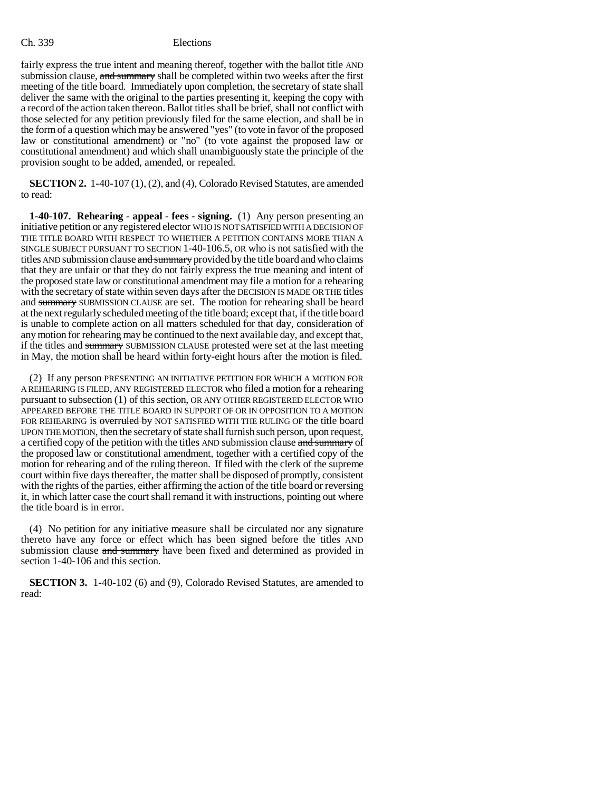#### Ch. 339 Elections

fairly express the true intent and meaning thereof, together with the ballot title AND submission clause, and summary shall be completed within two weeks after the first meeting of the title board. Immediately upon completion, the secretary of state shall deliver the same with the original to the parties presenting it, keeping the copy with a record of the action taken thereon. Ballot titles shall be brief, shall not conflict with those selected for any petition previously filed for the same election, and shall be in the form of a question which may be answered "yes" (to vote in favor of the proposed law or constitutional amendment) or "no" (to vote against the proposed law or constitutional amendment) and which shall unambiguously state the principle of the provision sought to be added, amended, or repealed.

**SECTION 2.** 1-40-107 (1), (2), and (4), Colorado Revised Statutes, are amended to read:

**1-40-107. Rehearing - appeal - fees - signing.** (1) Any person presenting an initiative petition or any registered elector WHO IS NOT SATISFIED WITH A DECISION OF THE TITLE BOARD WITH RESPECT TO WHETHER A PETITION CONTAINS MORE THAN A SINGLE SUBJECT PURSUANT TO SECTION 1-40-106.5, OR who is not satisfied with the titles AND submission clause and summary provided by the title board and who claims that they are unfair or that they do not fairly express the true meaning and intent of the proposed state law or constitutional amendment may file a motion for a rehearing with the secretary of state within seven days after the DECISION IS MADE OR THE titles and summary SUBMISSION CLAUSE are set. The motion for rehearing shall be heard at the next regularly scheduled meeting of the title board; except that, if the title board is unable to complete action on all matters scheduled for that day, consideration of any motion for rehearing may be continued to the next available day, and except that, if the titles and summary SUBMISSION CLAUSE protested were set at the last meeting in May, the motion shall be heard within forty-eight hours after the motion is filed.

(2) If any person PRESENTING AN INITIATIVE PETITION FOR WHICH A MOTION FOR A REHEARING IS FILED, ANY REGISTERED ELECTOR who filed a motion for a rehearing pursuant to subsection (1) of this section, OR ANY OTHER REGISTERED ELECTOR WHO APPEARED BEFORE THE TITLE BOARD IN SUPPORT OF OR IN OPPOSITION TO A MOTION FOR REHEARING is overruled by NOT SATISFIED WITH THE RULING OF the title board UPON THE MOTION, then the secretary of state shall furnish such person, upon request, a certified copy of the petition with the titles AND submission clause and summary of the proposed law or constitutional amendment, together with a certified copy of the motion for rehearing and of the ruling thereon. If filed with the clerk of the supreme court within five days thereafter, the matter shall be disposed of promptly, consistent with the rights of the parties, either affirming the action of the title board or reversing it, in which latter case the court shall remand it with instructions, pointing out where the title board is in error.

(4) No petition for any initiative measure shall be circulated nor any signature thereto have any force or effect which has been signed before the titles AND submission clause and summary have been fixed and determined as provided in section 1-40-106 and this section.

**SECTION 3.** 1-40-102 (6) and (9), Colorado Revised Statutes, are amended to read: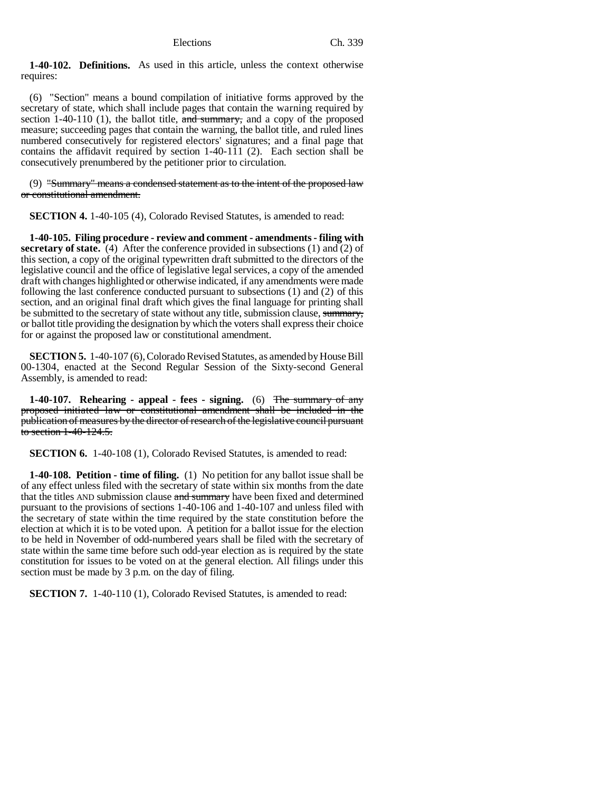**1-40-102. Definitions.** As used in this article, unless the context otherwise requires:

(6) "Section" means a bound compilation of initiative forms approved by the secretary of state, which shall include pages that contain the warning required by section 1-40-110 (1), the ballot title,  $\frac{1}{\text{and } \text{summary}}$ , and a copy of the proposed measure; succeeding pages that contain the warning, the ballot title, and ruled lines numbered consecutively for registered electors' signatures; and a final page that contains the affidavit required by section  $1-40-111$  (2). Each section shall be consecutively prenumbered by the petitioner prior to circulation.

(9) "Summary" means a condensed statement as to the intent of the proposed law or constitutional amendment.

**SECTION 4.** 1-40-105 (4), Colorado Revised Statutes, is amended to read:

**1-40-105. Filing procedure - review and comment - amendments - filing with secretary of state.** (4) After the conference provided in subsections (1) and (2) of this section, a copy of the original typewritten draft submitted to the directors of the legislative council and the office of legislative legal services, a copy of the amended draft with changes highlighted or otherwise indicated, if any amendments were made following the last conference conducted pursuant to subsections (1) and (2) of this section, and an original final draft which gives the final language for printing shall be submitted to the secretary of state without any title, submission clause, summary, or ballot title providing the designation by which the voters shall express their choice for or against the proposed law or constitutional amendment.

**SECTION 5.** 1-40-107 (6), Colorado Revised Statutes, as amended by House Bill 00-1304, enacted at the Second Regular Session of the Sixty-second General Assembly, is amended to read:

**1-40-107. Rehearing - appeal - fees - signing.** (6) The summary of any proposed initiated law or constitutional amendment shall be included in the publication of measures by the director of research of the legislative council pursuant to section 1-40-124.5.

**SECTION 6.** 1-40-108 (1), Colorado Revised Statutes, is amended to read:

**1-40-108. Petition - time of filing.** (1) No petition for any ballot issue shall be of any effect unless filed with the secretary of state within six months from the date that the titles AND submission clause and summary have been fixed and determined pursuant to the provisions of sections 1-40-106 and 1-40-107 and unless filed with the secretary of state within the time required by the state constitution before the election at which it is to be voted upon. A petition for a ballot issue for the election to be held in November of odd-numbered years shall be filed with the secretary of state within the same time before such odd-year election as is required by the state constitution for issues to be voted on at the general election. All filings under this section must be made by 3 p.m. on the day of filing.

**SECTION 7.** 1-40-110 (1), Colorado Revised Statutes, is amended to read: